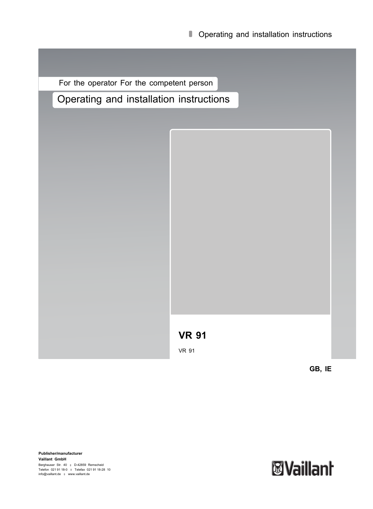For the operator For the competent person

Operating and installation instructions

**VR 91**

VR 91

**GB, IE**

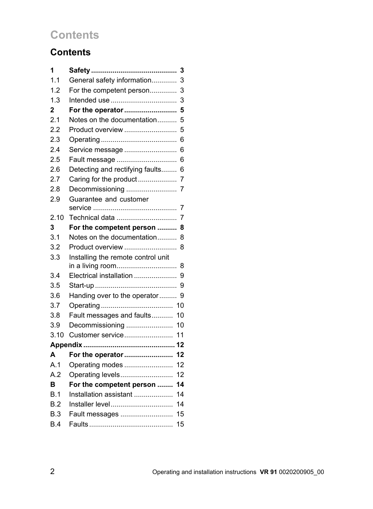## **Contents**

## **Contents**

| 1              | 3                                    |
|----------------|--------------------------------------|
| 1.1            | General safety information<br>3      |
| 1.2            | For the competent person<br>3        |
| 1.3            | 3                                    |
| $\overline{2}$ | For the operator<br>5                |
| 2.1            | Notes on the documentation<br>5      |
| 2.2            | Product overview<br>5                |
| 2.3            | 6                                    |
| 2.4            | Service message<br>6                 |
| 2.5            | 6<br>Fault message                   |
| 2.6            | Detecting and rectifying faults<br>6 |
| 2.7            |                                      |
| 2.8            |                                      |
| 2.9            | Guarantee and customer               |
| 2.10           | Technical data<br>7                  |
| 3              | For the competent person<br>8        |
| 3.1            | Notes on the documentation<br>8      |
| 3.2            | Product overview<br>8                |
| 3.3            | Installing the remote control unit   |
|                | in a living room<br>8                |
| 3.4            | Electrical installation<br>9         |
| 3.5            | 9                                    |
| 3.6            | Handing over to the operator<br>9    |
| 3.7            | 10                                   |
| 3.8            | Fault messages and faults<br>10      |
| 3.9            | Decommissioning<br>10                |
| 3.10           | Customer service<br>11               |
|                |                                      |
| A              | For the operator<br>12               |
| A.1            | 12<br>Operating modes                |
| A <sub>2</sub> | Operating levels<br>12               |
| B              | For the competent person<br>14       |
| B.1            | Installation assistant<br>14         |
| B.2            | 14                                   |
| B.3            | Fault messages<br>15                 |
| B.4            | 15                                   |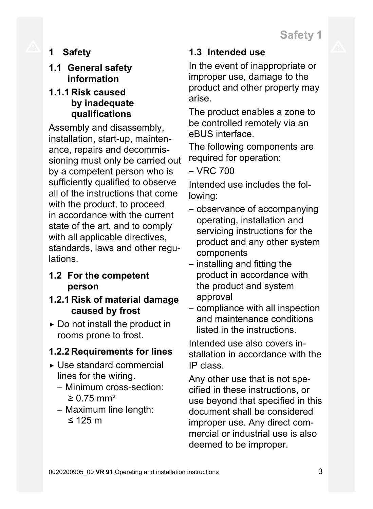**1 Safety**

## **1.1 General safety information**

## **1.1.1 Risk caused by inadequate qualifications**

Assembly and disassembly, installation, start-up, maintenance, repairs and decommissioning must only be carried out by a competent person who is sufficiently qualified to observe all of the instructions that come with the product, to proceed in accordance with the current state of the art, and to comply with all applicable directives, standards, laws and other regulations.

## **1.2 For the competent person**

## **1.2.1 Risk of material damage caused by frost**

 $\triangleright$  Do not install the product in rooms prone to frost.

## **1.2.2 Requirements for lines**

- ▶ Use standard commercial lines for the wiring.
	- Minimum cross-section:  $≥ 0.75$  mm<sup>2</sup>
	- Maximum line length: ≤ 125 m

## **1.3 Intended use**

In the event of inappropriate or improper use, damage to the product and other property may arise.

The product enables a zone to be controlled remotely via an eBUS interface.

The following components are required for operation:

– VRC 700

Intended use includes the following:

- observance of accompanying operating, installation and servicing instructions for the product and any other system components
- installing and fitting the product in accordance with the product and system approval
- compliance with all inspection and maintenance conditions listed in the instructions.

Intended use also covers installation in accordance with the IP class.

Any other use that is not specified in these instructions, or use beyond that specified in this document shall be considered improper use. Any direct commercial or industrial use is also deemed to be improper.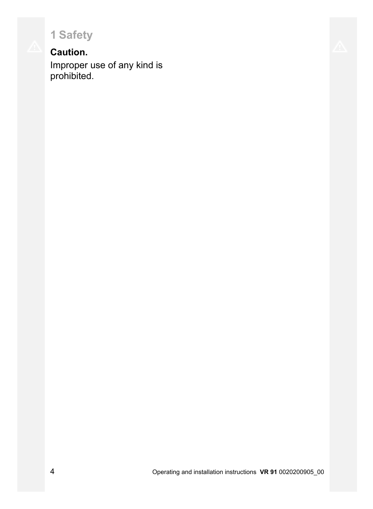**1 Safety**

## **Caution.**

Improper use of any kind is prohibited.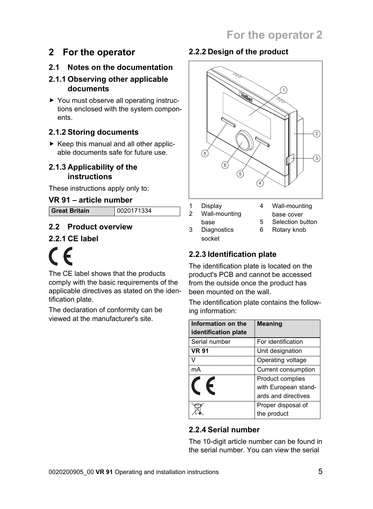## **2 For the operator**

## **2.1 Notes on the documentation**

#### **2.1.1 Observing other applicable documents**

▶ You must observe all operating instructions enclosed with the system components.

## **2.1.2 Storing documents**

 $\triangleright$  Keep this manual and all other applicable documents safe for future use.

#### **2.1.3 Applicability of the instructions**

These instructions apply only to:

### **VR 91** – **article number**

**Great Britain** 0020171334

### **2.2 Product overview**

### **2.2.1 CE label**



The CE label shows that the products comply with the basic requirements of the applicable directives as stated on the identification plate.

The declaration of conformity can be viewed at the manufacturer's site.

## **2.2.2 Design of the product**



- 1 Display
- 4 Wall-mounting
- 2 Wall-mounting base
- base cover 5 Selection button
- 
- 3 Diagnostics socket
- 6 Rotary knob

### **2.2.3 Identification plate**

The identification plate is located on the product's PCB and cannot be accessed from the outside once the product has been mounted on the wall.

The identification plate contains the following information:

| Information on the<br>identification plate | <b>Meaning</b>       |
|--------------------------------------------|----------------------|
| Serial number                              | For identification   |
| <b>VR 91</b>                               | Unit designation     |
| $\sqrt{}$                                  | Operating voltage    |
| mA                                         | Current consumption  |
|                                            | Product complies     |
|                                            | with European stand- |
|                                            | ards and directives  |
|                                            | Proper disposal of   |
|                                            | the product          |

#### **2.2.4 Serial number**

The 10-digit article number can be found in the serial number. You can view the serial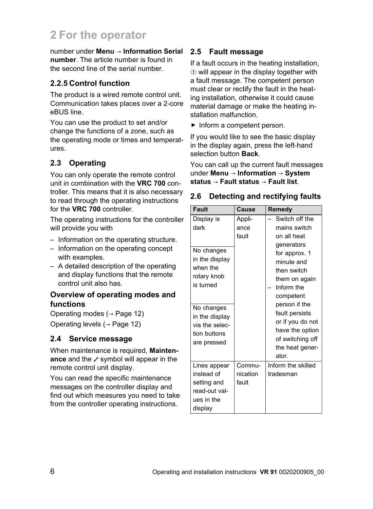## **2 For the operator**

number under **Menu** → **Information Serial number**. The article number is found in the second line of the serial number.

#### **2.2.5 Control function**

The product is a wired remote control unit. Communication takes places over a 2-core eBUS line.

You can use the product to set and/or change the functions of a zone, such as the operating mode or times and temperatures.

#### **2.3 Operating**

You can only operate the remote control unit in combination with the **VRC 700** controller. This means that it is also necessary to read through the operating instructions for the **VRC 700** controller.

The operating instructions for the controller will provide you with

- Information on the operating structure.
- Information on the operating concept with examples.
- A detailed description of the operating and display functions that the remote control unit also has.

#### **Overview of operating modes and functions**

Operating modes (→ Page 12) Operating levels (→ Page 12)

#### **2.4 Service message**

When maintenance is required, **Maintenance** and the *symbol* will appear in the remote control unit display.

You can read the specific maintenance messages on the controller display and find out which measures you need to take from the controller operating instructions.

#### **2.5 Fault message**

If a fault occurs in the heating installation,  $\Phi$  will appear in the display together with a fault message. The competent person must clear or rectify the fault in the heating installation, otherwise it could cause material damage or make the heating installation malfunction.

▶ Inform a competent person.

If you would like to see the basic display in the display again, press the left-hand selection button **Back**.

You can call up the current fault messages under **Menu** → **Information** → **System status** → **Fault status** → **Fault list**.

#### **2.6 Detecting and rectifying faults**

| Fault                                                                               | Cause                       | Remedy                                                                                                                 |
|-------------------------------------------------------------------------------------|-----------------------------|------------------------------------------------------------------------------------------------------------------------|
| Display is<br>dark                                                                  | Appli-<br>ance<br>fault     | Switch off the<br>mains switch<br>on all heat<br>generators                                                            |
| No changes<br>in the display<br>when the<br>rotary knob<br>is turned                |                             | for approx. 1<br>minute and<br>then switch<br>them on again<br>Inform the<br>competent                                 |
| No changes<br>in the display<br>via the selec-<br>tion buttons<br>are pressed       |                             | person if the<br>fault persists<br>or if you do not<br>have the option<br>of switching off<br>the heat gener-<br>ator. |
| Lines appear<br>instead of<br>setting and<br>read-out val-<br>ues in the<br>display | Commu-<br>nication<br>fault | Inform the skilled<br>tradesman                                                                                        |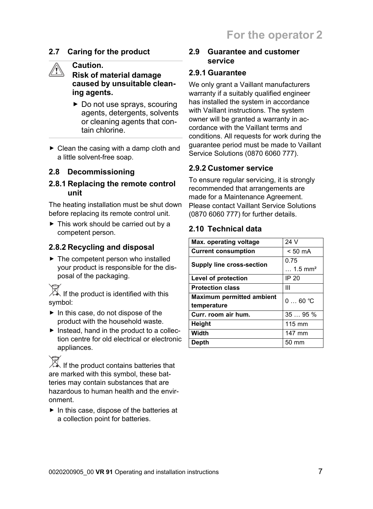#### **2.7 Caring for the product**

#### **Caution.**

**Risk of material damage caused by unsuitable cleaning agents.**

- ▶ Do not use sprays, scouring agents, detergents, solvents or cleaning agents that contain chlorine.
- $\triangleright$  Clean the casing with a damp cloth and a little solvent-free soap.

#### **2.8 Decommissioning**

#### **2.8.1 Replacing the remote control unit**

The heating installation must be shut down before replacing its remote control unit.

▶ This work should be carried out by a competent person.

#### **2.8.2 Recycling and disposal**

▶ The competent person who installed your product is responsible for the disposal of the packaging.

 $\overline{\mathbb{X}}$  If the product is identified with this symbol:

- $\blacktriangleright$  In this case, do not dispose of the product with the household waste.
- $\blacktriangleright$  Instead, hand in the product to a collection centre for old electrical or electronic appliances.

 $\mathbb{\overline{X}}$  If the product contains batteries that are marked with this symbol, these batteries may contain substances that are hazardous to human health and the environment.

 $\blacktriangleright$  In this case, dispose of the batteries at a collection point for batteries.

#### **2.9 Guarantee and customer service**

#### **2.9.1 Guarantee**

We only grant a Vaillant manufacturers warranty if a suitably qualified engineer has installed the system in accordance with Vaillant instructions. The system owner will be granted a warranty in accordance with the Vaillant terms and conditions. All requests for work during the guarantee period must be made to Vaillant Service Solutions (0870 6060 777).

#### **2.9.2 Customer service**

To ensure regular servicing, it is strongly recommended that arrangements are made for a Maintenance Agreement. Please contact Vaillant Service Solutions (0870 6060 777) for further details.

#### **2.10 Technical data**

| Max. operating voltage           | 24 V                         |
|----------------------------------|------------------------------|
| <b>Current consumption</b>       | $< 50 \text{ mA}$            |
| <b>Supply line cross-section</b> | 0.75                         |
|                                  | $\ldots$ 1.5 mm <sup>2</sup> |
| Level of protection              | IP 20                        |
| <b>Protection class</b>          | Ш                            |
| <b>Maximum permitted ambient</b> | $060$ °C                     |
| temperature                      |                              |
| Curr. room air hum.              | $35 \t 95 \%$                |
| Height                           | 115 mm                       |
| Width                            | 147 mm                       |
| Depth                            | $50 \text{ mm}$              |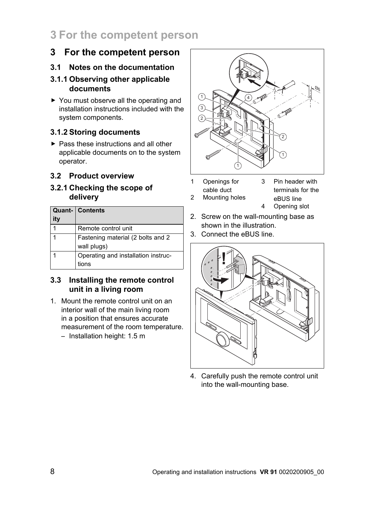## **3 For the competent person**

## **3 For the competent person**

#### **3.1 Notes on the documentation**

#### **3.1.1 Observing other applicable documents**

▶ You must observe all the operating and installation instructions included with the system components.

#### **3.1.2 Storing documents**

▶ Pass these instructions and all other applicable documents on to the system operator.

#### **3.2 Product overview**

#### **3.2.1 Checking the scope of delivery**

|     | <b>Quant- Contents</b>              |
|-----|-------------------------------------|
| itv |                                     |
|     | Remote control unit                 |
|     | Fastening material (2 bolts and 2   |
|     | wall plugs)                         |
|     | Operating and installation instruc- |
|     | tions                               |

#### **3.3 Installing the remote control unit in a living room**

- 1. Mount the remote control unit on an interior wall of the main living room in a position that ensures accurate measurement of the room temperature.
	- Installation height: 1.5 m



- 1 Openings for cable duct 2 Mounting holes
- 3 Pin header with terminals for the eBUS line 4 Opening slot
- 2. Screw on the wall-mounting base as shown in the illustration.
- 3. Connect the eBUS line.



4. Carefully push the remote control unit into the wall-mounting base.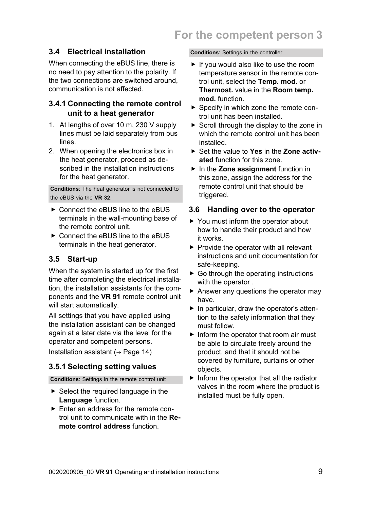### **3.4 Electrical installation**

When connecting the eBUS line, there is no need to pay attention to the polarity. If the two connections are switched around, communication is not affected.

#### **3.4.1 Connecting the remote control unit to a heat generator**

- 1. At lengths of over 10 m, 230 V supply lines must be laid separately from bus lines.
- 2. When opening the electronics box in the heat generator, proceed as described in the installation instructions for the heat generator.

**Conditions**: The heat generator is not connected to the eBUS via the **VR 32**.

- ▶ Connect the eBUS line to the eBUS terminals in the wall-mounting base of the remote control unit.
- ▶ Connect the eBUS line to the eBUS terminals in the heat generator.

#### **3.5 Start-up**

When the system is started up for the first time after completing the electrical installation, the installation assistants for the components and the **VR 91** remote control unit will start automatically.

All settings that you have applied using the installation assistant can be changed again at a later date via the level for the operator and competent persons.

Installation assistant ( $\rightarrow$  Page 14)

#### **3.5.1 Selecting setting values**

**Conditions**: Settings in the remote control unit

- ▶ Select the required language in the **Language** function.
- ▶ Enter an address for the remote control unit to communicate with in the **Remote control address** function.

**Conditions**: Settings in the controller

- $\blacktriangleright$  If you would also like to use the room temperature sensor in the remote control unit, select the **Temp. mod.** or **Thermost.** value in the **Room temp. mod.** function.
- ▶ Specify in which zone the remote control unit has been installed.
- $\triangleright$  Scroll through the display to the zone in which the remote control unit has been installed.
- ▶ Set the value to **Yes** in the **Zone activated** function for this zone.
- ▶ In the **Zone assignment** function in this zone, assign the address for the remote control unit that should be triggered.

#### **3.6 Handing over to the operator**

- ▶ You must inform the operator about how to handle their product and how it works.
- ▶ Provide the operator with all relevant instructions and unit documentation for safe-keeping.
- $\triangleright$  Go through the operating instructions with the operator.
- ▶ Answer any questions the operator may have.
- ▶ In particular, draw the operator's attention to the safety information that they must follow.
- ▶ Inform the operator that room air must be able to circulate freely around the product, and that it should not be covered by furniture, curtains or other objects.
- $\blacktriangleright$  Inform the operator that all the radiator valves in the room where the product is installed must be fully open.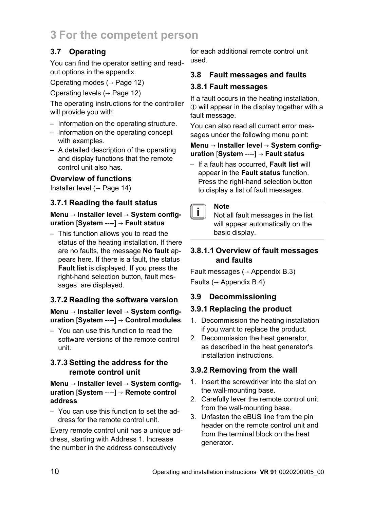## **3 For the competent person**

## **3.7 Operating**

You can find the operator setting and readout options in the appendix.

Operating modes (→ Page 12)

Operating levels (→ Page 12)

The operating instructions for the controller will provide you with

- Information on the operating structure.
- Information on the operating concept with examples.
- A detailed description of the operating and display functions that the remote control unit also has.

### **Overview of functions**

Installer level  $($   $\rightarrow$  Page 14)

### **3.7.1 Reading the fault status**

#### **Menu** → **Installer level** → **System configuration** [**System** ----] → **Fault status**

– This function allows you to read the status of the heating installation. If there are no faults, the message **No fault** appears here. If there is a fault, the status **Fault list** is displayed. If you press the right-hand selection button, fault messages are displayed.

### **3.7.2 Reading the software version**

#### **Menu** → **Installer level** → **System configuration** [**System** ----] → **Control modules**

– You can use this function to read the software versions of the remote control unit.

#### **3.7.3 Setting the address for the remote control unit**

#### **Menu** → **Installer level** → **System configuration** [**System** ----] → **Remote control address**

– You can use this function to set the address for the remote control unit.

Every remote control unit has a unique address, starting with Address 1. Increase the number in the address consecutively

for each additional remote control unit used.

### **3.8 Fault messages and faults**

#### **3.8.1 Fault messages**

If a fault occurs in the heating installation,  $\Phi$  will appear in the display together with a fault message.

You can also read all current error messages under the following menu point:

#### **Menu** → **Installer level** → **System configuration** [**System** ----] → **Fault status**

– If a fault has occurred, **Fault list** will appear in the **Fault status** function. Press the right-hand selection button to display a list of fault messages.

#### **Note** i l

Not all fault messages in the list will appear automatically on the basic display.

#### **3.8.1.1 Overview of fault messages and faults**

Fault messages ( $\rightarrow$  Appendix B.3) Faults ( $\rightarrow$  Appendix B.4)

#### **3.9 Decommissioning**

#### **3.9.1 Replacing the product**

- 1. Decommission the heating installation if you want to replace the product.
- 2. Decommission the heat generator, as described in the heat generator's installation instructions.

### **3.9.2 Removing from the wall**

- 1. Insert the screwdriver into the slot on the wall-mounting base.
- 2. Carefully lever the remote control unit from the wall-mounting base.
- 3. Unfasten the eBUS line from the pin header on the remote control unit and from the terminal block on the heat generator.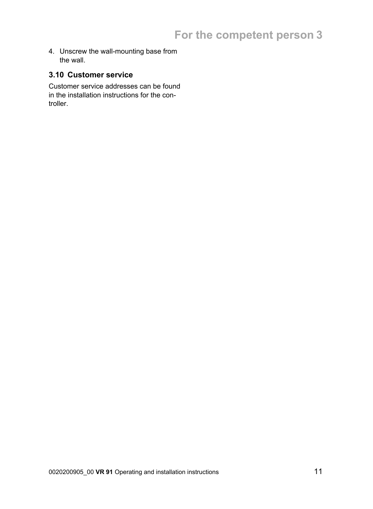4. Unscrew the wall-mounting base from the wall.

#### **3.10 Customer service**

Customer service addresses can be found in the installation instructions for the controller.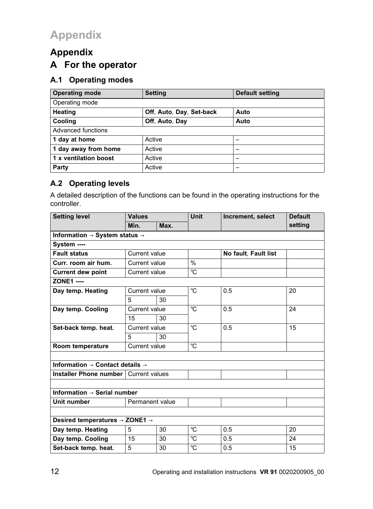## **Appendix A For the operator**

#### **A.1 Operating modes**

| <b>Operating mode</b> | <b>Setting</b>           | Default setting |  |  |  |  |  |
|-----------------------|--------------------------|-----------------|--|--|--|--|--|
| Operating mode        |                          |                 |  |  |  |  |  |
| Heating               | Off, Auto, Day, Set-back | Auto            |  |  |  |  |  |
| Cooling               | Off, Auto, Day           | Auto            |  |  |  |  |  |
| Advanced functions    |                          |                 |  |  |  |  |  |
| 1 day at home         | Active                   | -               |  |  |  |  |  |
| 1 day away from home  | Active                   | -               |  |  |  |  |  |
| 1 x ventilation boost | Active                   | -               |  |  |  |  |  |
| Party                 | Active                   | -               |  |  |  |  |  |

### **A.2 Operating levels**

A detailed description of the functions can be found in the operating instructions for the controller.

| <b>Setting level</b>                                    | <b>Values</b>              |      | <b>Unit</b>   | Increment, select    | <b>Default</b> |  |
|---------------------------------------------------------|----------------------------|------|---------------|----------------------|----------------|--|
|                                                         | Min.                       | Max. |               |                      | setting        |  |
| Information $\rightarrow$ System status $\rightarrow$   |                            |      |               |                      |                |  |
| System ----                                             |                            |      |               |                      |                |  |
| <b>Fault status</b>                                     | Current value              |      |               | No fault, Fault list |                |  |
| Curr. room air hum.                                     | Current value              |      | $\frac{0}{0}$ |                      |                |  |
| <b>Current dew point</b>                                | Current value              |      | °C.           |                      |                |  |
| <b>ZONE1 ----</b>                                       |                            |      |               |                      |                |  |
| Day temp. Heating                                       | Current value              |      | °C            | 0.5                  | 20             |  |
|                                                         | 5                          | 30   |               |                      |                |  |
| Day temp. Cooling                                       | °C<br>0.5<br>Current value |      |               | 24                   |                |  |
|                                                         | 15                         | 30   |               |                      |                |  |
| Set-back temp. heat.                                    | Current value              |      | $^{\circ}C$   | 0.5                  | 15             |  |
|                                                         | 5                          | 30   |               |                      |                |  |
| Room temperature                                        | Current value              |      | °C            |                      |                |  |
|                                                         |                            |      |               |                      |                |  |
| Information $\rightarrow$ Contact details $\rightarrow$ |                            |      |               |                      |                |  |
| Installer Phone number   Current values                 |                            |      |               |                      |                |  |
|                                                         |                            |      |               |                      |                |  |
| Information $\rightarrow$ Serial number                 |                            |      |               |                      |                |  |
| Unit number                                             | Permanent value            |      |               |                      |                |  |
|                                                         |                            |      |               |                      |                |  |
| Desired temperatures $\rightarrow$ ZONE1 $\rightarrow$  |                            |      |               |                      |                |  |
| Day temp. Heating                                       | 5                          | 30   | °C            | 0.5                  | 20             |  |
| Day temp. Cooling                                       | 15                         | 30   | °C            | 0.5                  | 24             |  |
| Set-back temp. heat.                                    | 5                          | 30   | °C            | 0.5                  | 15             |  |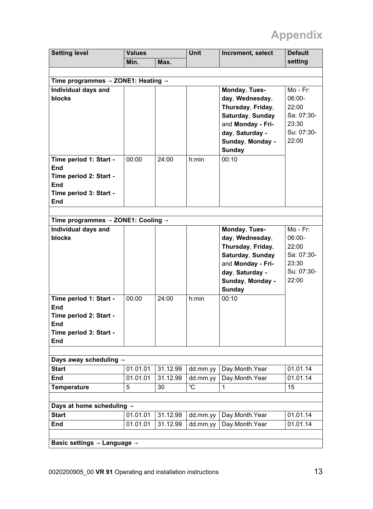| setting<br>Min.<br>Max.<br>Time programmes $\rightarrow$ ZONE1: Heating $\rightarrow$<br>Individual days and<br>Monday, Tues-<br>$Mo - Fr$ :<br>day, Wednesday,<br>06:00-<br>blocks<br>Thursday, Friday,<br>22:00<br>Saturday, Sunday<br>Sa: 07:30-<br>and Monday - Fri-<br>23:30<br>Su: 07:30-<br>day, Saturday -<br>22:00<br>Sunday, Monday -<br>Sunday<br>00:10<br>Time period 1: Start -<br>00:00<br>24:00<br>h:min<br><b>End</b><br>Time period 2: Start -<br>End<br>Time period 3: Start -<br>End<br>Time programmes $\rightarrow$ ZONE1: Cooling $\rightarrow$<br>Individual days and<br>Monday, Tues-<br>$Mo - Fr$ : |  | <b>Default</b> | Increment, select | <b>Unit</b> | <b>Values</b> |  | <b>Setting level</b> |  |
|------------------------------------------------------------------------------------------------------------------------------------------------------------------------------------------------------------------------------------------------------------------------------------------------------------------------------------------------------------------------------------------------------------------------------------------------------------------------------------------------------------------------------------------------------------------------------------------------------------------------------|--|----------------|-------------------|-------------|---------------|--|----------------------|--|
|                                                                                                                                                                                                                                                                                                                                                                                                                                                                                                                                                                                                                              |  |                |                   |             |               |  |                      |  |
|                                                                                                                                                                                                                                                                                                                                                                                                                                                                                                                                                                                                                              |  |                |                   |             |               |  |                      |  |
|                                                                                                                                                                                                                                                                                                                                                                                                                                                                                                                                                                                                                              |  |                |                   |             |               |  |                      |  |
|                                                                                                                                                                                                                                                                                                                                                                                                                                                                                                                                                                                                                              |  |                |                   |             |               |  |                      |  |
|                                                                                                                                                                                                                                                                                                                                                                                                                                                                                                                                                                                                                              |  |                |                   |             |               |  |                      |  |
|                                                                                                                                                                                                                                                                                                                                                                                                                                                                                                                                                                                                                              |  |                |                   |             |               |  |                      |  |
|                                                                                                                                                                                                                                                                                                                                                                                                                                                                                                                                                                                                                              |  |                |                   |             |               |  |                      |  |
|                                                                                                                                                                                                                                                                                                                                                                                                                                                                                                                                                                                                                              |  |                |                   |             |               |  |                      |  |
|                                                                                                                                                                                                                                                                                                                                                                                                                                                                                                                                                                                                                              |  |                |                   |             |               |  |                      |  |
|                                                                                                                                                                                                                                                                                                                                                                                                                                                                                                                                                                                                                              |  |                |                   |             |               |  |                      |  |
|                                                                                                                                                                                                                                                                                                                                                                                                                                                                                                                                                                                                                              |  |                |                   |             |               |  |                      |  |
|                                                                                                                                                                                                                                                                                                                                                                                                                                                                                                                                                                                                                              |  |                |                   |             |               |  |                      |  |
|                                                                                                                                                                                                                                                                                                                                                                                                                                                                                                                                                                                                                              |  |                |                   |             |               |  |                      |  |
|                                                                                                                                                                                                                                                                                                                                                                                                                                                                                                                                                                                                                              |  |                |                   |             |               |  |                      |  |
|                                                                                                                                                                                                                                                                                                                                                                                                                                                                                                                                                                                                                              |  |                |                   |             |               |  |                      |  |
|                                                                                                                                                                                                                                                                                                                                                                                                                                                                                                                                                                                                                              |  |                |                   |             |               |  |                      |  |
|                                                                                                                                                                                                                                                                                                                                                                                                                                                                                                                                                                                                                              |  |                |                   |             |               |  |                      |  |
|                                                                                                                                                                                                                                                                                                                                                                                                                                                                                                                                                                                                                              |  |                |                   |             |               |  |                      |  |
|                                                                                                                                                                                                                                                                                                                                                                                                                                                                                                                                                                                                                              |  |                |                   |             |               |  |                      |  |
|                                                                                                                                                                                                                                                                                                                                                                                                                                                                                                                                                                                                                              |  | 06:00-         | day, Wednesday,   |             |               |  | blocks               |  |
| Thursday, Friday,<br>22:00                                                                                                                                                                                                                                                                                                                                                                                                                                                                                                                                                                                                   |  |                |                   |             |               |  |                      |  |
| Saturday, Sunday<br>Sa: 07:30-                                                                                                                                                                                                                                                                                                                                                                                                                                                                                                                                                                                               |  |                |                   |             |               |  |                      |  |
| and Monday - Fri-<br>23:30                                                                                                                                                                                                                                                                                                                                                                                                                                                                                                                                                                                                   |  |                |                   |             |               |  |                      |  |
| Su: 07:30-<br>day, Saturday -                                                                                                                                                                                                                                                                                                                                                                                                                                                                                                                                                                                                |  |                |                   |             |               |  |                      |  |
| 22:00<br>Sunday, Monday -                                                                                                                                                                                                                                                                                                                                                                                                                                                                                                                                                                                                    |  |                |                   |             |               |  |                      |  |
| Sunday                                                                                                                                                                                                                                                                                                                                                                                                                                                                                                                                                                                                                       |  |                |                   |             |               |  |                      |  |
| 00:10<br>Time period 1: Start -<br>00:00<br>24:00<br>$h$ : min                                                                                                                                                                                                                                                                                                                                                                                                                                                                                                                                                               |  |                |                   |             |               |  |                      |  |
| End                                                                                                                                                                                                                                                                                                                                                                                                                                                                                                                                                                                                                          |  |                |                   |             |               |  |                      |  |
| Time period 2: Start -                                                                                                                                                                                                                                                                                                                                                                                                                                                                                                                                                                                                       |  |                |                   |             |               |  |                      |  |
| End                                                                                                                                                                                                                                                                                                                                                                                                                                                                                                                                                                                                                          |  |                |                   |             |               |  |                      |  |
| Time period 3: Start -                                                                                                                                                                                                                                                                                                                                                                                                                                                                                                                                                                                                       |  |                |                   |             |               |  |                      |  |
| End                                                                                                                                                                                                                                                                                                                                                                                                                                                                                                                                                                                                                          |  |                |                   |             |               |  |                      |  |
|                                                                                                                                                                                                                                                                                                                                                                                                                                                                                                                                                                                                                              |  |                |                   |             |               |  |                      |  |
| Days away scheduling $\rightarrow$<br><b>Start</b><br>01.01.01<br>Day.Month.Year<br>01.01.14<br>31.12.99<br>dd.mm.yy                                                                                                                                                                                                                                                                                                                                                                                                                                                                                                         |  |                |                   |             |               |  |                      |  |
| <b>End</b><br>31.12.99<br>Day.Month.Year<br>01.01.14<br>01.01.01<br>dd.mm.yy                                                                                                                                                                                                                                                                                                                                                                                                                                                                                                                                                 |  |                |                   |             |               |  |                      |  |
| °C<br>15<br>5<br>30<br>1                                                                                                                                                                                                                                                                                                                                                                                                                                                                                                                                                                                                     |  |                |                   |             |               |  |                      |  |
| Temperature                                                                                                                                                                                                                                                                                                                                                                                                                                                                                                                                                                                                                  |  |                |                   |             |               |  |                      |  |
| Days at home scheduling $\rightarrow$                                                                                                                                                                                                                                                                                                                                                                                                                                                                                                                                                                                        |  |                |                   |             |               |  |                      |  |
| <b>Start</b><br>01.01.01<br>31.12.99<br>01.01.14<br>dd.mm.yy<br>Day.Month.Year                                                                                                                                                                                                                                                                                                                                                                                                                                                                                                                                               |  |                |                   |             |               |  |                      |  |
| 31.12.99<br>Day.Month.Year<br>01.01.14<br>End<br>01.01.01<br>dd.mm.yy                                                                                                                                                                                                                                                                                                                                                                                                                                                                                                                                                        |  |                |                   |             |               |  |                      |  |
|                                                                                                                                                                                                                                                                                                                                                                                                                                                                                                                                                                                                                              |  |                |                   |             |               |  |                      |  |
| Basic settings $\rightarrow$ Language $\rightarrow$                                                                                                                                                                                                                                                                                                                                                                                                                                                                                                                                                                          |  |                |                   |             |               |  |                      |  |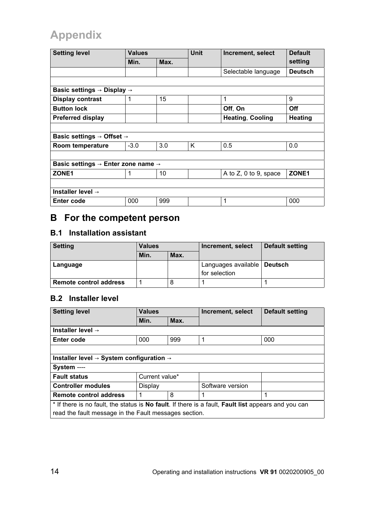| <b>Setting level</b>                                       | <b>Values</b> |                         | <b>Unit</b> | Increment, select        | <b>Default</b>    |  |
|------------------------------------------------------------|---------------|-------------------------|-------------|--------------------------|-------------------|--|
|                                                            | Min.          | Max.                    |             |                          | setting           |  |
|                                                            |               |                         |             | Selectable language      | <b>Deutsch</b>    |  |
|                                                            |               |                         |             |                          |                   |  |
| Basic settings $\rightarrow$ Display $\rightarrow$         |               |                         |             |                          |                   |  |
| <b>Display contrast</b>                                    | 1             | 15                      |             | 1                        | 9                 |  |
| <b>Button lock</b>                                         |               |                         |             | Off, On                  | Off               |  |
| <b>Preferred display</b>                                   |               | <b>Heating, Cooling</b> | Heating     |                          |                   |  |
|                                                            |               |                         |             |                          |                   |  |
| Basic settings $\rightarrow$ Offset $\rightarrow$          |               |                         |             |                          |                   |  |
| Room temperature                                           | $-3.0$        | 3.0                     | K           | 0.5                      | 0.0               |  |
|                                                            |               |                         |             |                          |                   |  |
| Basic settings $\rightarrow$ Enter zone name $\rightarrow$ |               |                         |             |                          |                   |  |
| ZONE <sub>1</sub>                                          |               | 10                      |             | A to $Z$ , 0 to 9, space | ZONE <sub>1</sub> |  |
|                                                            |               |                         |             |                          |                   |  |
| Installer level $\rightarrow$                              |               |                         |             |                          |                   |  |
| Enter code                                                 | 000           | 999                     |             | 1                        | 000               |  |

## **B For the competent person**

#### **B.1 Installation assistant**

| <b>Setting</b>                | <b>Values</b> |      | Increment, select                              | Default setting |
|-------------------------------|---------------|------|------------------------------------------------|-----------------|
|                               | Min.          | Max. |                                                |                 |
| Language                      |               |      | Languages available   Deutsch<br>for selection |                 |
| <b>Remote control address</b> |               |      |                                                |                 |

#### **B.2 Installer level**

| <b>Setting level</b>                                                                                | <b>Values</b>  |      | Increment, select | Default setting |  |
|-----------------------------------------------------------------------------------------------------|----------------|------|-------------------|-----------------|--|
|                                                                                                     | Min.           | Max. |                   |                 |  |
| Installer level $\rightarrow$                                                                       |                |      |                   |                 |  |
| Enter code                                                                                          | 000            | 999  | 1                 | 000             |  |
|                                                                                                     |                |      |                   |                 |  |
| Installer level $\rightarrow$ System configuration $\rightarrow$                                    |                |      |                   |                 |  |
| System ----                                                                                         |                |      |                   |                 |  |
| <b>Fault status</b>                                                                                 | Current value* |      |                   |                 |  |
| <b>Controller modules</b>                                                                           | Display        |      | Software version  |                 |  |
| Remote control address                                                                              | 8<br>1         |      | 1                 | 1               |  |
| * If there is no fault, the status is No fault. If there is a fault, Fault list appears and you can |                |      |                   |                 |  |
| read the fault message in the Fault messages section.                                               |                |      |                   |                 |  |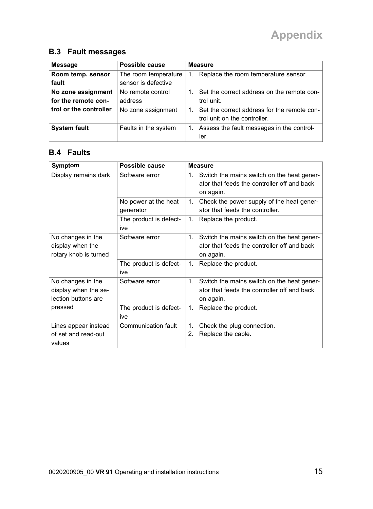#### **B.3 Fault messages**

| Message                                   | Possible cause                              | <b>Measure</b>                                                                    |
|-------------------------------------------|---------------------------------------------|-----------------------------------------------------------------------------------|
| Room temp. sensor<br>fault                | The room temperature<br>sensor is defective | Replace the room temperature sensor.<br>1.                                        |
| No zone assignment<br>for the remote con- | No remote control<br>address                | Set the correct address on the remote con-<br>trol unit.                          |
| trol or the controller                    | No zone assignment                          | Set the correct address for the remote con-<br>1.<br>trol unit on the controller. |
| <b>System fault</b>                       | Faults in the system                        | Assess the fault messages in the control-<br>1.<br>ler.                           |

### **B.4 Faults**

| Symptom                                                          | Possible cause                    | <b>Measure</b>                                                                                               |
|------------------------------------------------------------------|-----------------------------------|--------------------------------------------------------------------------------------------------------------|
| Display remains dark                                             | Software error                    | 1. Switch the mains switch on the heat gener-<br>ator that feeds the controller off and back<br>on again.    |
|                                                                  | No power at the heat<br>generator | Check the power supply of the heat gener-<br>1.<br>ator that feeds the controller.                           |
|                                                                  | The product is defect-<br>ive     | 1.<br>Replace the product.                                                                                   |
| No changes in the<br>display when the<br>rotary knob is turned   | Software error                    | 1.<br>Switch the mains switch on the heat gener-<br>ator that feeds the controller off and back<br>on again. |
|                                                                  | The product is defect-<br>ive     | 1.<br>Replace the product.                                                                                   |
| No changes in the<br>display when the se-<br>lection buttons are | Software error                    | 1.<br>Switch the mains switch on the heat gener-<br>ator that feeds the controller off and back<br>on again. |
| pressed                                                          | The product is defect-<br>ive     | 1.<br>Replace the product.                                                                                   |
| Lines appear instead<br>of set and read-out<br>values            | Communication fault               | 1.<br>Check the plug connection.<br>Replace the cable.<br>2.                                                 |